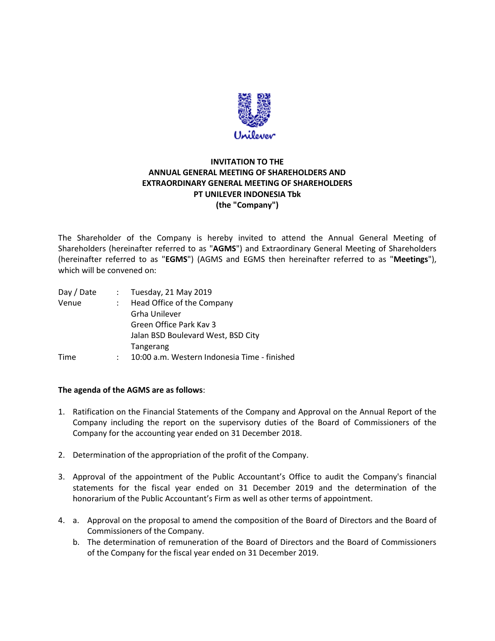

# **INVITATION TO THE ANNUAL GENERAL MEETING OF SHAREHOLDERS AND EXTRAORDINARY GENERAL MEETING OF SHAREHOLDERS PT UNILEVER INDONESIA Tbk (the "Company")**

The Shareholder of the Company is hereby invited to attend the Annual General Meeting of Shareholders (hereinafter referred to as "**AGMS**") and Extraordinary General Meeting of Shareholders (hereinafter referred to as "**EGMS**") (AGMS and EGMS then hereinafter referred to as "**Meetings**"), which will be convened on:

| Day / Date |                      | : Tuesday, 21 May 2019                       |
|------------|----------------------|----------------------------------------------|
| Venue      |                      | Head Office of the Company                   |
|            |                      | Grha Unilever                                |
|            |                      | Green Office Park Kay 3                      |
|            |                      | Jalan BSD Boulevard West, BSD City           |
|            |                      | Tangerang                                    |
| Time       | $\ddot{\phantom{0}}$ | 10:00 a.m. Western Indonesia Time - finished |

### **The agenda of the AGMS are as follows**:

- 1. Ratification on the Financial Statements of the Company and Approval on the Annual Report of the Company including the report on the supervisory duties of the Board of Commissioners of the Company for the accounting year ended on 31 December 2018.
- 2. Determination of the appropriation of the profit of the Company.
- 3. Approval of the appointment of the Public Accountant's Office to audit the Company's financial statements for the fiscal year ended on 31 December 2019 and the determination of the honorarium of the Public Accountant's Firm as well as other terms of appointment.
- 4. a. Approval on the proposal to amend the composition of the Board of Directors and the Board of Commissioners of the Company.
	- b. The determination of remuneration of the Board of Directors and the Board of Commissioners of the Company for the fiscal year ended on 31 December 2019.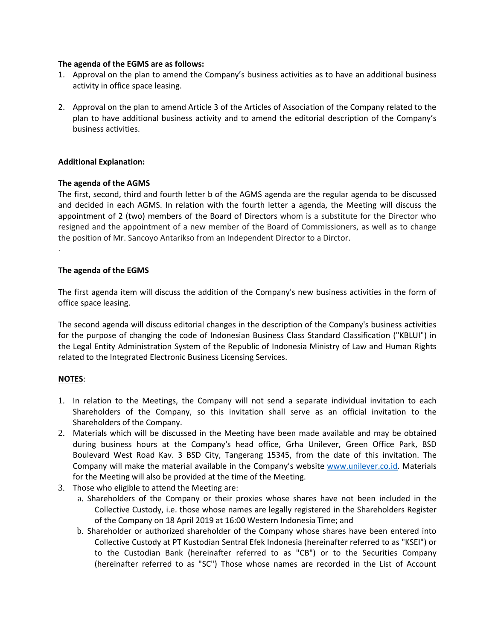#### **The agenda of the EGMS are as follows:**

- 1. Approval on the plan to amend the Company's business activities as to have an additional business activity in office space leasing.
- 2. Approval on the plan to amend Article 3 of the Articles of Association of the Company related to the plan to have additional business activity and to amend the editorial description of the Company's business activities.

### **Additional Explanation:**

## **The agenda of the AGMS**

The first, second, third and fourth letter b of the AGMS agenda are the regular agenda to be discussed and decided in each AGMS. In relation with the fourth letter a agenda, the Meeting will discuss the appointment of 2 (two) members of the Board of Directors whom is a substitute for the Director who resigned and the appointment of a new member of the Board of Commissioners, as well as to change the position of Mr. Sancoyo Antarikso from an Independent Director to a Dirctor.

### **The agenda of the EGMS**

The first agenda item will discuss the addition of the Company's new business activities in the form of office space leasing.

The second agenda will discuss editorial changes in the description of the Company's business activities for the purpose of changing the code of Indonesian Business Class Standard Classification ("KBLUI") in the Legal Entity Administration System of the Republic of Indonesia Ministry of Law and Human Rights related to the Integrated Electronic Business Licensing Services.

## **NOTES**:

.

- 1. In relation to the Meetings, the Company will not send a separate individual invitation to each Shareholders of the Company, so this invitation shall serve as an official invitation to the Shareholders of the Company.
- 2. Materials which will be discussed in the Meeting have been made available and may be obtained during business hours at the Company's head office, Grha Unilever, Green Office Park, BSD Boulevard West Road Kav. 3 BSD City, Tangerang 15345, from the date of this invitation. The Company will make the material available in the Company's website [www.unilever.co.id.](http://www.unilever.co.id/) Materials for the Meeting will also be provided at the time of the Meeting.
- 3. Those who eligible to attend the Meeting are:
	- a. Shareholders of the Company or their proxies whose shares have not been included in the Collective Custody, i.e. those whose names are legally registered in the Shareholders Register of the Company on 18 April 2019 at 16:00 Western Indonesia Time; and
	- b. Shareholder or authorized shareholder of the Company whose shares have been entered into Collective Custody at PT Kustodian Sentral Efek Indonesia (hereinafter referred to as "KSEI") or to the Custodian Bank (hereinafter referred to as "CB") or to the Securities Company (hereinafter referred to as "SC") Those whose names are recorded in the List of Account